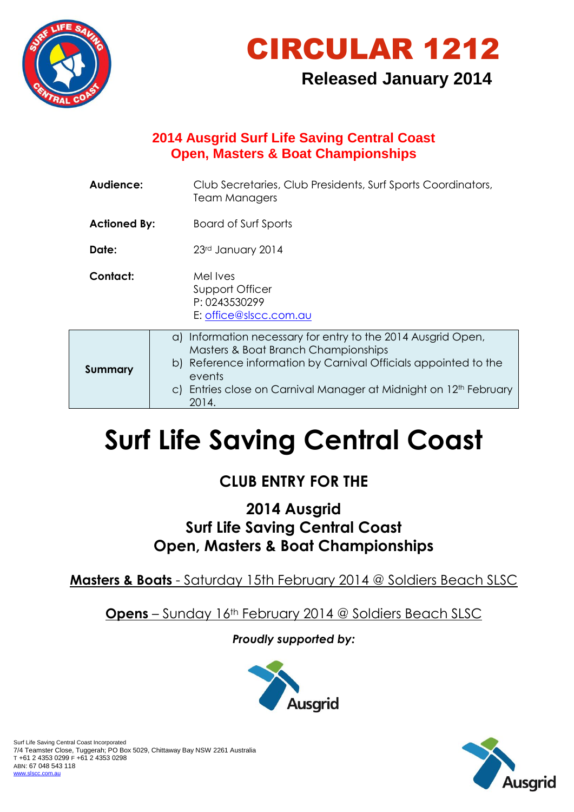



# **Released January 2014**

# **2014 Ausgrid Surf Life Saving Central Coast Open, Masters & Boat Championships**

| Audience:           | Club Secretaries, Club Presidents, Surf Sports Coordinators,<br><b>Team Managers</b>                                                                                                                                                                                       |
|---------------------|----------------------------------------------------------------------------------------------------------------------------------------------------------------------------------------------------------------------------------------------------------------------------|
| <b>Actioned By:</b> | Board of Surf Sports                                                                                                                                                                                                                                                       |
| Date:               | 23rd January 2014                                                                                                                                                                                                                                                          |
| Contact:            | Mel Ives<br>Support Officer<br>P: 0243530299<br>E: office@slscc.com.au                                                                                                                                                                                                     |
| <b>Summary</b>      | a) Information necessary for entry to the 2014 Ausgrid Open,<br>Masters & Boat Branch Championships<br>b) Reference information by Carnival Officials appointed to the<br>events<br>c) Entries close on Carnival Manager at Midnight on 12 <sup>th</sup> February<br>2014. |

# **Surf Life Saving Central Coast**

# **CLUB ENTRY FOR THE**

# **2014 Ausgrid Surf Life Saving Central Coast Open, Masters & Boat Championships**

**Masters & Boats** - Saturday 15th February 2014 @ Soldiers Beach SLSC

**Opens** – Sunday 16th February 2014 @ Soldiers Beach SLSC

*Proudly supported by:*



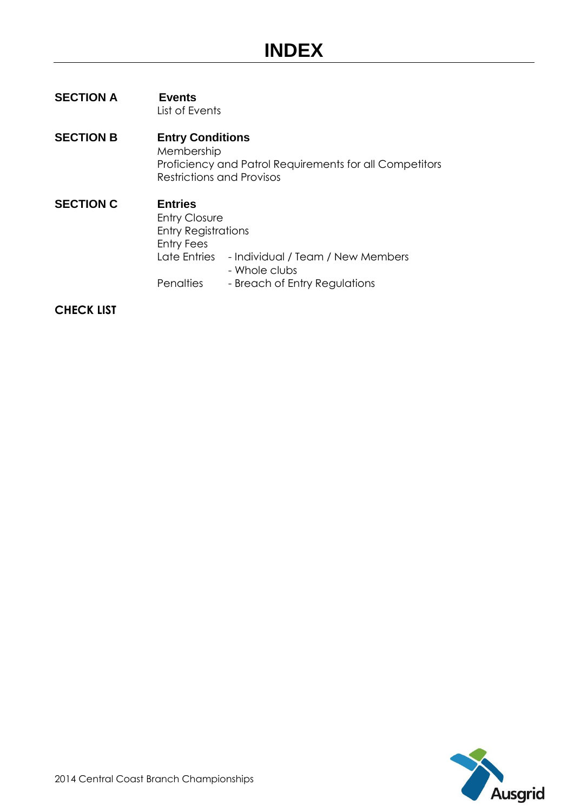#### **SECTION A Events** List of Events

#### **SECTION B Entry Conditions** Membership Proficiency and Patrol Requirements for all Competitors Restrictions and Provisos

**SECTION C Entries** Entry Closure Entry Registrations Entry Fees Late Entries - Individual / Team / New Members - Whole clubs Penalties - Breach of Entry Regulations

#### **CHECK LIST**

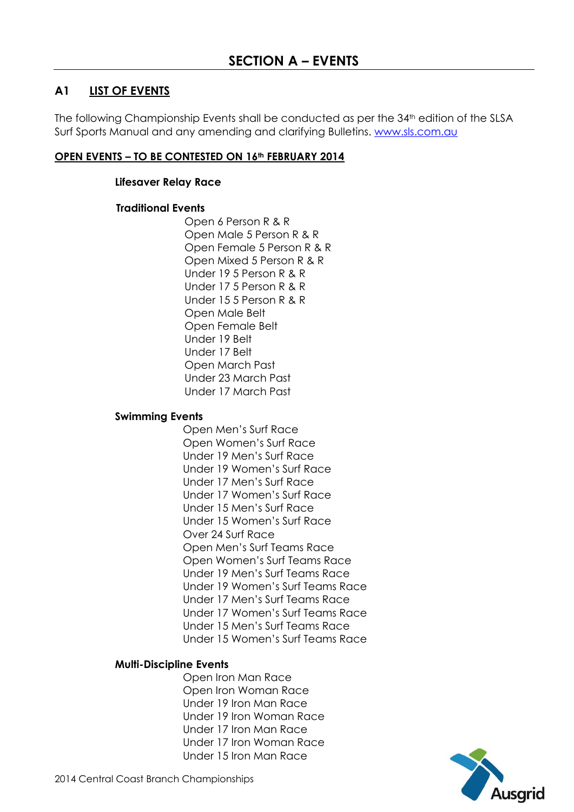# **A1 LIST OF EVENTS**

The following Championship Events shall be conducted as per the 34<sup>th</sup> edition of the SLSA Surf Sports Manual and any amending and clarifying Bulletins. [www.sls.com.au](http://www.sls.com.au/)

#### **OPEN EVENTS – TO BE CONTESTED ON 16th FEBRUARY 2014**

#### **Lifesaver Relay Race**

#### **Traditional Events**

Open 6 Person R & R Open Male 5 Person R & R Open Female 5 Person R & R Open Mixed 5 Person R & R Under 19 5 Person R & R Under 17 5 Person R & R Under 15 5 Person R & R Open Male Belt Open Female Belt Under 19 Belt Under 17 Belt Open March Past Under 23 March Past Under 17 March Past

#### **Swimming Events**

Open Men's Surf Race Open Women's Surf Race Under 19 Men's Surf Race Under 19 Women's Surf Race Under 17 Men's Surf Race Under 17 Women's Surf Race Under 15 Men's Surf Race Under 15 Women's Surf Race Over 24 Surf Race Open Men's Surf Teams Race Open Women's Surf Teams Race Under 19 Men's Surf Teams Race Under 19 Women's Surf Teams Race Under 17 Men's Surf Teams Race Under 17 Women's Surf Teams Race Under 15 Men's Surf Teams Race Under 15 Women's Surf Teams Race

#### **Multi-Discipline Events**

Open Iron Man Race Open Iron Woman Race Under 19 Iron Man Race Under 19 Iron Woman Race Under 17 Iron Man Race Under 17 Iron Woman Race Under 15 Iron Man Race

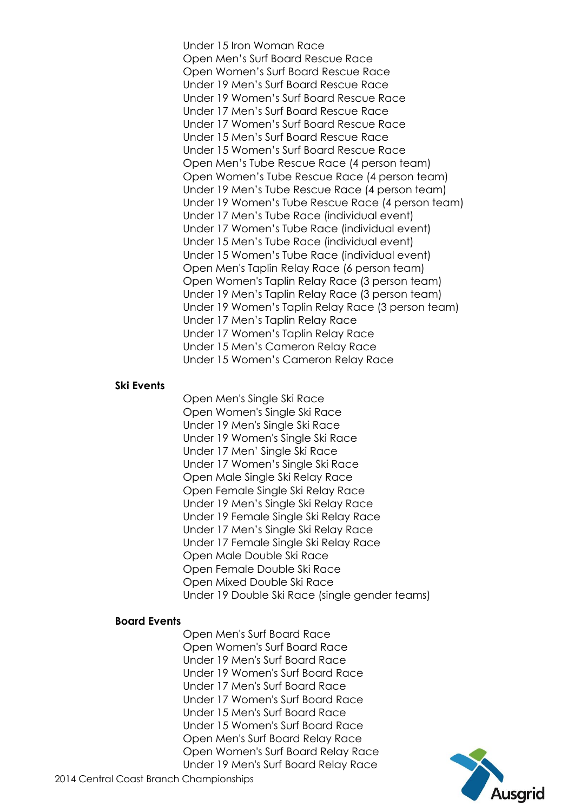Under 15 Iron Woman Race Open Men's Surf Board Rescue Race Open Women's Surf Board Rescue Race Under 19 Men's Surf Board Rescue Race Under 19 Women's Surf Board Rescue Race Under 17 Men's Surf Board Rescue Race Under 17 Women's Surf Board Rescue Race Under 15 Men's Surf Board Rescue Race Under 15 Women's Surf Board Rescue Race Open Men's Tube Rescue Race (4 person team) Open Women's Tube Rescue Race (4 person team) Under 19 Men's Tube Rescue Race (4 person team) Under 19 Women's Tube Rescue Race (4 person team) Under 17 Men's Tube Race (individual event) Under 17 Women's Tube Race (individual event) Under 15 Men's Tube Race (individual event) Under 15 Women's Tube Race (individual event) Open Men's Taplin Relay Race (6 person team) Open Women's Taplin Relay Race (3 person team) Under 19 Men's Taplin Relay Race (3 person team) Under 19 Women's Taplin Relay Race (3 person team) Under 17 Men's Taplin Relay Race Under 17 Women's Taplin Relay Race Under 15 Men's Cameron Relay Race Under 15 Women's Cameron Relay Race

#### **Ski Events**

Open Men's Single Ski Race Open Women's Single Ski Race Under 19 Men's Single Ski Race Under 19 Women's Single Ski Race Under 17 Men' Single Ski Race Under 17 Women's Single Ski Race Open Male Single Ski Relay Race Open Female Single Ski Relay Race Under 19 Men's Single Ski Relay Race Under 19 Female Single Ski Relay Race Under 17 Men's Single Ski Relay Race Under 17 Female Single Ski Relay Race Open Male Double Ski Race Open Female Double Ski Race Open Mixed Double Ski Race Under 19 Double Ski Race (single gender teams)

#### **Board Events**

Open Men's Surf Board Race Open Women's Surf Board Race Under 19 Men's Surf Board Race Under 19 Women's Surf Board Race Under 17 Men's Surf Board Race Under 17 Women's Surf Board Race Under 15 Men's Surf Board Race Under 15 Women's Surf Board Race Open Men's Surf Board Relay Race Open Women's Surf Board Relay Race Under 19 Men's Surf Board Relay Race

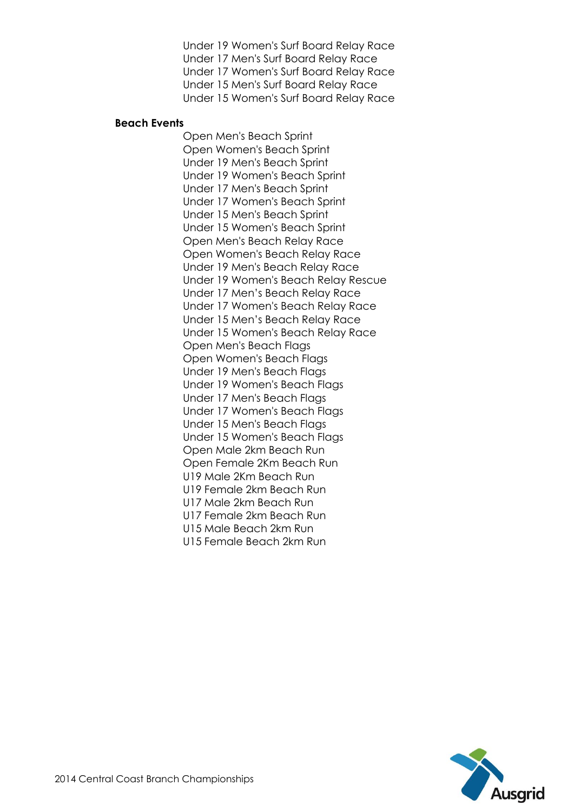Under 19 Women's Surf Board Relay Race Under 17 Men's Surf Board Relay Race Under 17 Women's Surf Board Relay Race Under 15 Men's Surf Board Relay Race Under 15 Women's Surf Board Relay Race

#### **Beach Events**

Open Men's Beach Sprint Open Women's Beach Sprint Under 19 Men's Beach Sprint Under 19 Women's Beach Sprint Under 17 Men's Beach Sprint Under 17 Women's Beach Sprint Under 15 Men's Beach Sprint Under 15 Women's Beach Sprint Open Men's Beach Relay Race Open Women's Beach Relay Race Under 19 Men's Beach Relay Race Under 19 Women's Beach Relay Rescue Under 17 Men's Beach Relay Race Under 17 Women's Beach Relay Race Under 15 Men's Beach Relay Race Under 15 Women's Beach Relay Race Open Men's Beach Flags Open Women's Beach Flags Under 19 Men's Beach Flags Under 19 Women's Beach Flags Under 17 Men's Beach Flags Under 17 Women's Beach Flags Under 15 Men's Beach Flags Under 15 Women's Beach Flags Open Male 2km Beach Run Open Female 2Km Beach Run U19 Male 2Km Beach Run U19 Female 2km Beach Run U17 Male 2km Beach Run U17 Female 2km Beach Run U15 Male Beach 2km Run U15 Female Beach 2km Run

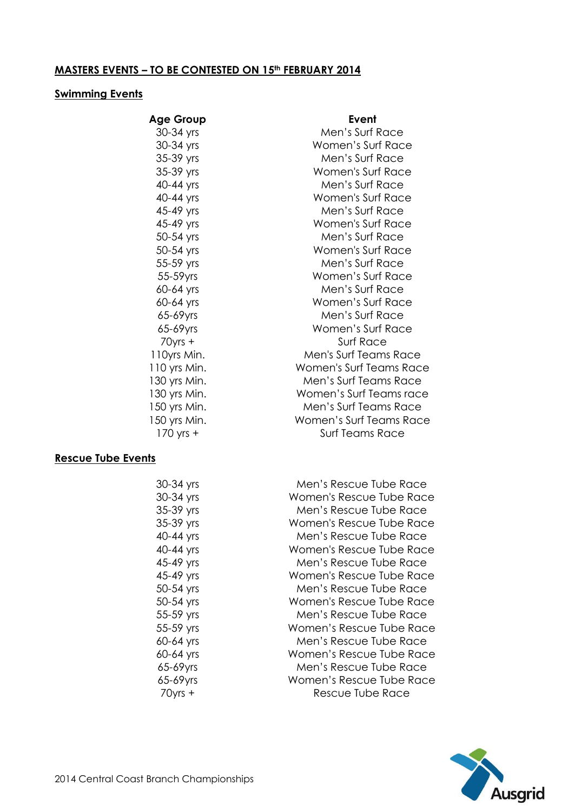# **MASTERS EVENTS – TO BE CONTESTED ON 15th FEBRUARY 2014**

#### **Swimming Events**

| <b>Age Group</b> | Event                          |
|------------------|--------------------------------|
| 30-34 yrs        | Men's Surf Race                |
| 30-34 yrs        | Women's Surf Race              |
| 35-39 yrs        | Men's Surf Race                |
| 35-39 yrs        | Women's Surf Race              |
| 40-44 yrs        | Men's Surf Race                |
| 40-44 yrs        | Women's Surf Race              |
| 45-49 yrs        | Men's Surf Race                |
| 45-49 yrs        | Women's Surf Race              |
| 50-54 yrs        | Men's Surf Race                |
| 50-54 yrs        | Women's Surf Race              |
| 55-59 yrs        | Men's Surf Race                |
| 55-59yrs         | Women's Surf Race              |
| 60-64 yrs        | Men's Surf Race                |
| 60-64 yrs        | Women's Surf Race              |
| 65-69yrs         | Men's Surf Race                |
| 65-69yrs         | Women's Surf Race              |
| $70$ yrs +       | Surf Race                      |
| 110yrs Min.      | Men's Surf Teams Race          |
| 110 yrs Min.     | <b>Women's Surf Teams Race</b> |
| 130 yrs Min.     | Men's Surf Teams Race          |
| 130 yrs Min.     | Women's Surf Teams race        |
| 150 yrs Min.     | Men's Surf Teams Race          |
| 150 yrs Min.     | Women's Surf Teams Race        |
| $170$ yrs $+$    | <b>Surf Teams Race</b>         |
|                  |                                |

#### **Rescue Tube Events**

| 30-34 yrs  | Men's Rescue Tube Race   |
|------------|--------------------------|
| 30-34 yrs  | Women's Rescue Tube Race |
| 35-39 yrs  | Men's Rescue Tube Race   |
| 35-39 yrs  | Women's Rescue Tube Race |
| 40-44 yrs  | Men's Rescue Tube Race   |
| 40-44 yrs  | Women's Rescue Tube Race |
| 45-49 yrs  | Men's Rescue Tube Race   |
| 45-49 yrs  | Women's Rescue Tube Race |
| 50-54 yrs  | Men's Rescue Tube Race   |
| 50-54 yrs  | Women's Rescue Tube Race |
| 55-59 yrs  | Men's Rescue Tube Race   |
| 55-59 yrs  | Women's Rescue Tube Race |
| 60-64 yrs  | Men's Rescue Tube Race   |
| 60-64 yrs  | Women's Rescue Tube Race |
| 65-69yrs   | Men's Rescue Tube Race   |
| 65-69yrs   | Women's Rescue Tube Race |
| $70$ yrs + | Rescue Tube Race         |

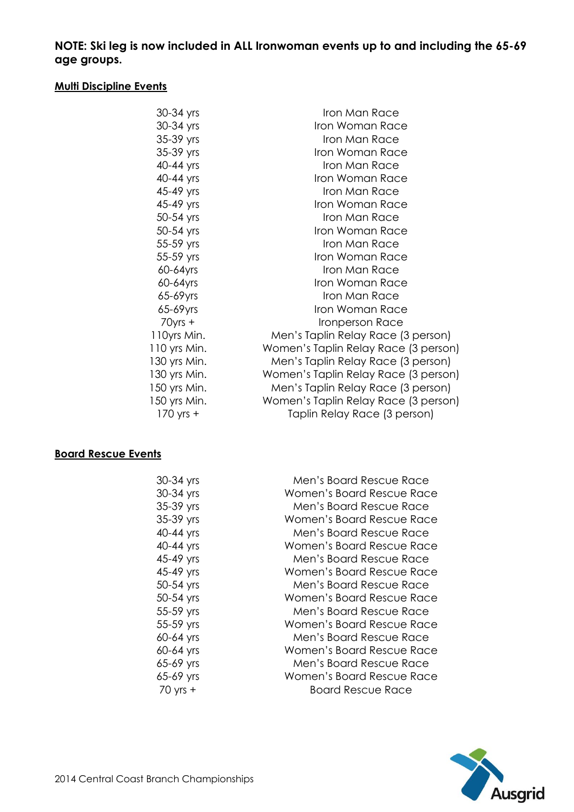**NOTE: Ski leg is now included in ALL Ironwoman events up to and including the 65-69 age groups.**

#### **Multi Discipline Events**

| 30-34 yrs    | Iron Man Race                        |
|--------------|--------------------------------------|
| 30-34 yrs    | Iron Woman Race                      |
| 35-39 yrs    | Iron Man Race                        |
| 35-39 yrs    | Iron Woman Race                      |
| 40-44 yrs    | Iron Man Race                        |
| 40-44 yrs    | Iron Woman Race                      |
| 45-49 yrs    | Iron Man Race                        |
| 45-49 yrs    | Iron Woman Race                      |
| 50-54 yrs    | Iron Man Race                        |
| 50-54 yrs    | Iron Woman Race                      |
| 55-59 yrs    | Iron Man Race                        |
| 55-59 yrs    | Iron Woman Race                      |
| 60-64yrs     | Iron Man Race                        |
| 60-64yrs     | Iron Woman Race                      |
| 65-69yrs     | Iron Man Race                        |
| 65-69yrs     | Iron Woman Race                      |
| $70$ yrs +   | Ironperson Race                      |
| 110yrs Min.  | Men's Taplin Relay Race (3 person)   |
| 110 yrs Min. | Women's Taplin Relay Race (3 person) |
| 130 yrs Min. | Men's Taplin Relay Race (3 person)   |
| 130 yrs Min. | Women's Taplin Relay Race (3 person) |
| 150 yrs Min. | Men's Taplin Relay Race (3 person)   |
| 150 yrs Min. | Women's Taplin Relay Race (3 person) |
| 170 yrs +    | Taplin Relay Race (3 person)         |

# **Board Rescue Events**

| 30-34 yrs    | Men's Board Rescue Race   |
|--------------|---------------------------|
| 30-34 yrs    | Women's Board Rescue Race |
| 35-39 yrs    | Men's Board Rescue Race   |
| 35-39 yrs    | Women's Board Rescue Race |
| 40-44 yrs    | Men's Board Rescue Race   |
| 40-44 yrs    | Women's Board Rescue Race |
| 45-49 yrs    | Men's Board Rescue Race   |
| 45-49 yrs    | Women's Board Rescue Race |
| 50-54 yrs    | Men's Board Rescue Race   |
| 50-54 yrs    | Women's Board Rescue Race |
| 55-59 yrs    | Men's Board Rescue Race   |
| 55-59 yrs    | Women's Board Rescue Race |
| 60-64 yrs    | Men's Board Rescue Race   |
| 60-64 yrs    | Women's Board Rescue Race |
| 65-69 yrs    | Men's Board Rescue Race   |
| 65-69 yrs    | Women's Board Rescue Race |
| $70$ yrs $+$ | Board Rescue Race         |

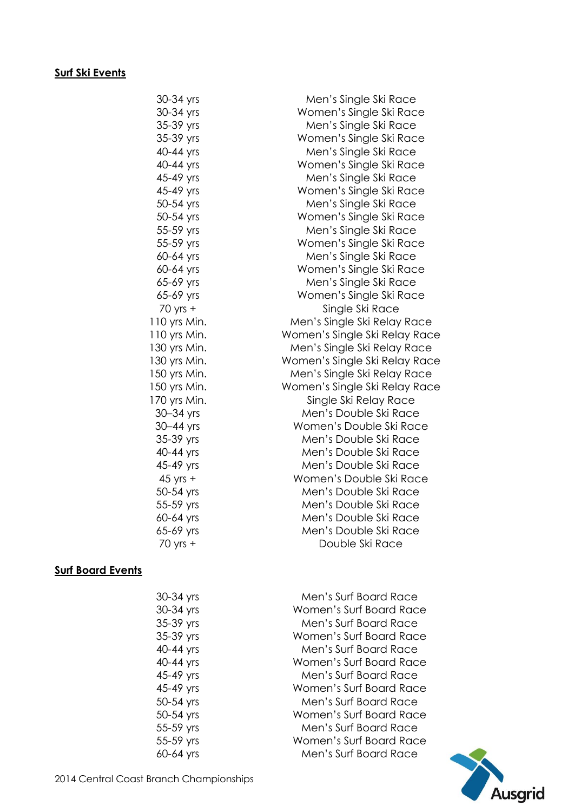# **Surf Ski Events**

| 30-34 yrs    | Men's Single Ski Race         |
|--------------|-------------------------------|
| 30-34 yrs    | Women's Single Ski Race       |
| 35-39 yrs    | Men's Single Ski Race         |
| 35-39 yrs    | Women's Single Ski Race       |
| 40-44 yrs    | Men's Single Ski Race         |
| 40-44 yrs    | Women's Single Ski Race       |
| 45-49 yrs    | Men's Single Ski Race         |
| 45-49 yrs    | Women's Single Ski Race       |
| 50-54 yrs    | Men's Single Ski Race         |
| 50-54 yrs    | Women's Single Ski Race       |
| 55-59 yrs    | Men's Single Ski Race         |
| 55-59 yrs    | Women's Single Ski Race       |
| 60-64 yrs    | Men's Single Ski Race         |
| 60-64 yrs    | Women's Single Ski Race       |
| 65-69 yrs    | Men's Single Ski Race         |
| 65-69 yrs    | Women's Single Ski Race       |
| 70 yrs +     | Single Ski Race               |
| 110 yrs Min. | Men's Single Ski Relay Race   |
| 110 yrs Min. | Women's Single Ski Relay Race |
| 130 yrs Min. | Men's Single Ski Relay Race   |
| 130 yrs Min. | Women's Single Ski Relay Race |
| 150 yrs Min. | Men's Single Ski Relay Race   |
| 150 yrs Min. | Women's Single Ski Relay Race |
| 170 yrs Min. | Single Ski Relay Race         |
| 30-34 yrs    | Men's Double Ski Race         |
| 30-44 yrs    | Women's Double Ski Race       |
| 35-39 yrs    | Men's Double Ski Race         |
| 40-44 yrs    | Men's Double Ski Race         |
| 45-49 yrs    | Men's Double Ski Race         |
| $45$ yrs +   | Women's Double Ski Race       |
| 50-54 yrs    | Men's Double Ski Race         |
| 55-59 yrs    | Men's Double Ski Race         |
| 60-64 yrs    | Men's Double Ski Race         |
| 65-69 yrs    | Men's Double Ski Race         |
| $70$ yrs $+$ | Double Ski Race               |
|              |                               |

# **Surf Board Events**

| 30-34 yrs | Men's Surf Board Race   |
|-----------|-------------------------|
| 30-34 yrs | Women's Surf Board Race |
| 35-39 yrs | Men's Surf Board Race   |
| 35-39 yrs | Women's Surf Board Race |
| 40-44 yrs | Men's Surf Board Race   |
| 40-44 yrs | Women's Surf Board Race |
| 45-49 yrs | Men's Surf Board Race   |
| 45-49 yrs | Women's Surf Board Race |
| 50-54 yrs | Men's Surf Board Race   |
| 50-54 yrs | Women's Surf Board Race |
| 55-59 yrs | Men's Surf Board Race   |
| 55-59 yrs | Women's Surf Board Race |
| 60-64 yrs | Men's Surf Board Race   |
|           |                         |

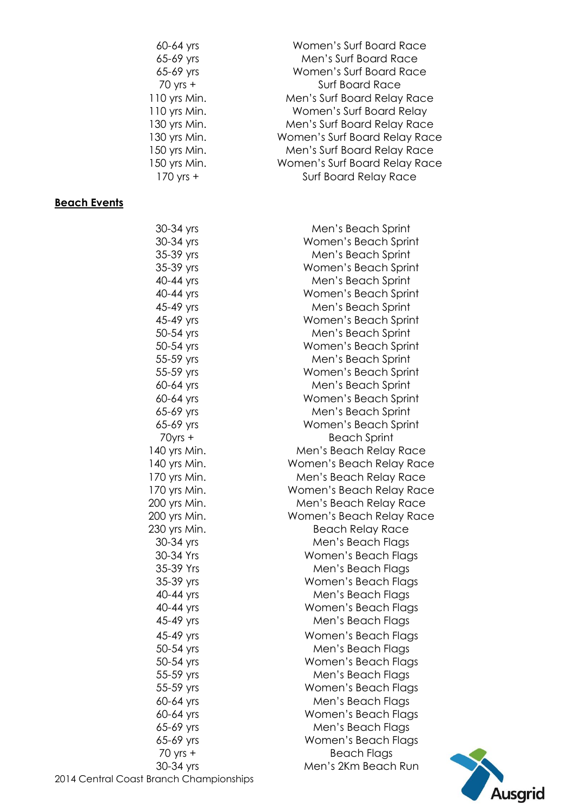| $60-64$ yrs  | Women's Surf Board Race       |
|--------------|-------------------------------|
| 65-69 yrs    | Men's Surf Board Race         |
| 65-69 yrs    | Women's Surf Board Race       |
| $70$ yrs +   | <b>Surf Board Race</b>        |
| 110 yrs Min. | Men's Surf Board Relay Race   |
| 110 yrs Min. | Women's Surf Board Relay      |
| 130 yrs Min. | Men's Surf Board Relay Race   |
| 130 yrs Min. | Women's Surf Board Relay Race |
| 150 yrs Min. | Men's Surf Board Relay Race   |
| 150 yrs Min. | Women's Surf Board Relay Race |
| $170$ yrs +  | <b>Surf Board Relay Race</b>  |

# **Beach Events**

| 30-34 yrs                        | Men's Beach Sprint       |
|----------------------------------|--------------------------|
| 30-34 yrs                        | Women's Beach Sprint     |
| 35-39 yrs                        | Men's Beach Sprint       |
| 35-39 yrs                        | Women's Beach Sprint     |
| 40-44 yrs                        | Men's Beach Sprint       |
| 40-44 yrs                        | Women's Beach Sprint     |
| 45-49 yrs                        | Men's Beach Sprint       |
| 45-49 yrs                        | Women's Beach Sprint     |
| 50-54 yrs                        | Men's Beach Sprint       |
| 50-54 yrs                        | Women's Beach Sprint     |
| 55-59 yrs                        | Men's Beach Sprint       |
| 55-59 yrs                        | Women's Beach Sprint     |
| 60-64 yrs                        | Men's Beach Sprint       |
| 60-64 yrs                        | Women's Beach Sprint     |
| 65-69 yrs                        | Men's Beach Sprint       |
| 65-69 yrs                        | Women's Beach Sprint     |
| $70$ yrs +                       | <b>Beach Sprint</b>      |
| 140 yrs Min.                     | Men's Beach Relay Race   |
| 140 yrs Min.                     | Women's Beach Relay Race |
| 170 yrs Min.                     | Men's Beach Relay Race   |
| 170 yrs Min.                     | Women's Beach Relay Race |
| 200 yrs Min.                     | Men's Beach Relay Race   |
| 200 yrs Min.                     | Women's Beach Relay Race |
| 230 yrs Min.                     | <b>Beach Relay Race</b>  |
| 30-34 yrs                        | Men's Beach Flags        |
| 30-34 Yrs                        | Women's Beach Flags      |
| 35-39 Yrs                        | Men's Beach Flags        |
| 35-39 yrs                        | Women's Beach Flags      |
| 40-44 yrs                        | Men's Beach Flags        |
| 40-44 yrs                        | Women's Beach Flags      |
| 45-49 yrs                        | Men's Beach Flags        |
| 45-49 yrs                        | Women's Beach Flags      |
| 50-54 yrs                        | Men's Beach Flags        |
| 50-54 yrs                        | Women's Beach Flags      |
| 55-59 yrs                        | Men's Beach Flags        |
| 55-59 yrs                        | Women's Beach Flags      |
| 60-64 yrs                        | Men's Beach Flags        |
| 60-64 yrs                        | Women's Beach Flags      |
| 65-69 yrs                        | Men's Beach Flags        |
| 65-69 yrs                        | Women's Beach Flags      |
| $70$ yrs $+$                     | <b>Beach Flags</b>       |
| 30-34 yrs                        | Men's 2Km Beach Run      |
| <b>Dast Branch Championships</b> |                          |



2014 Central Cc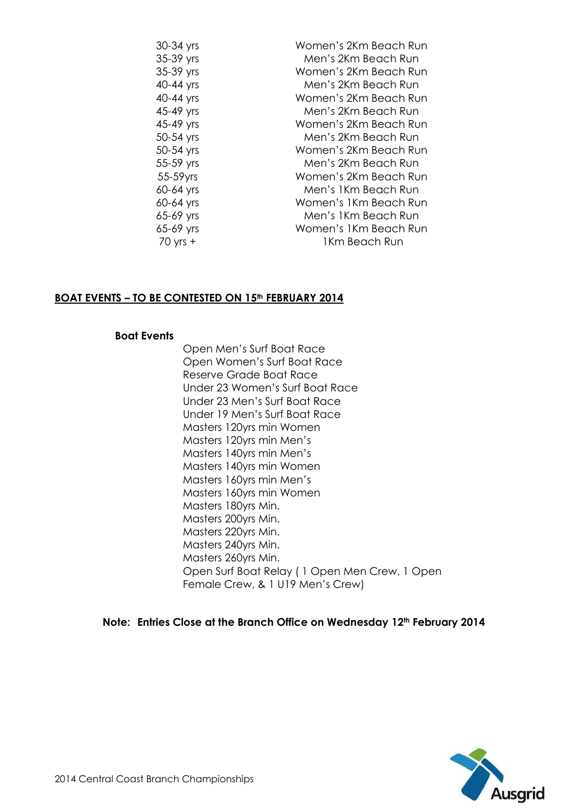| 30-34 yrs    | Women's 2Km Beach Run |
|--------------|-----------------------|
| 35-39 yrs    | Men's 2Km Beach Run   |
| 35-39 yrs    | Women's 2Km Beach Run |
| 40-44 yrs    | Men's 2Km Beach Run   |
| 40-44 yrs    | Women's 2Km Beach Run |
| 45-49 yrs    | Men's 2Km Beach Run   |
| 45-49 yrs    | Women's 2Km Beach Run |
| 50-54 yrs    | Men's 2Km Beach Run   |
| 50-54 yrs    | Women's 2Km Beach Run |
| 55-59 yrs    | Men's 2Km Beach Run   |
| 55-59yrs     | Women's 2Km Beach Run |
| 60-64 yrs    | Men's 1Km Beach Run   |
| 60-64 yrs    | Women's 1Km Beach Run |
| 65-69 yrs    | Men's 1Km Beach Run   |
| 65-69 yrs    | Women's 1Km Beach Run |
| $70$ yrs $+$ | 1Km Beach Run         |

#### **BOAT EVENTS – TO BE CONTESTED ON 15th FEBRUARY 2014**

#### **Boat Events**

Open Men's Surf Boat Race Open Women's Surf Boat Race Reserve Grade Boat Race Under 23 Women's Surf Boat Race Under 23 Men's Surf Boat Race Under 19 Men's Surf Boat Race Masters 120yrs min Women Masters 120yrs min Men's Masters 140yrs min Men's Masters 140yrs min Women Masters 160yrs min Men's Masters 160yrs min Women Masters 180yrs Min. Masters 200yrs Min. Masters 220yrs Min. Masters 240yrs Min. Masters 260yrs Min. Open Surf Boat Relay ( 1 Open Men Crew, 1 Open Female Crew, & 1 U19 Men's Crew)

**Note: Entries Close at the Branch Office on Wednesday 12th February 2014**

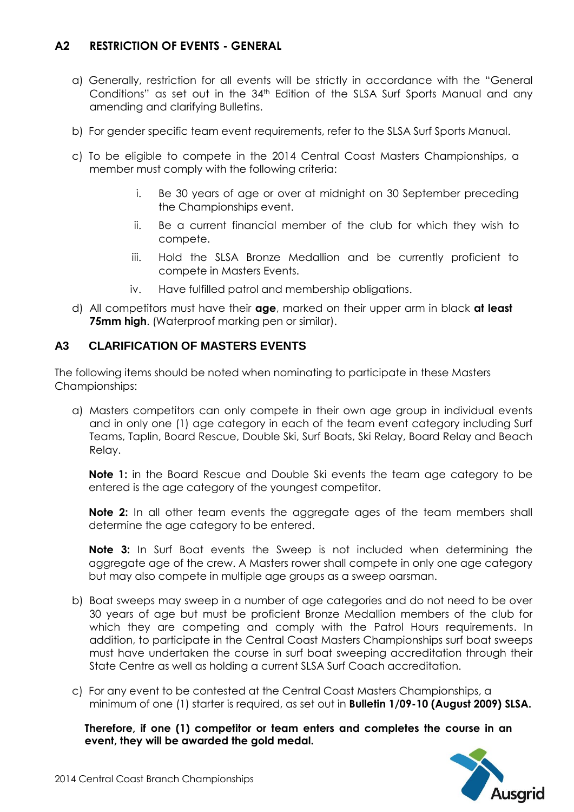# **A2 RESTRICTION OF EVENTS - GENERAL**

- a) Generally, restriction for all events will be strictly in accordance with the "General Conditions" as set out in the 34<sup>th</sup> Edition of the SLSA Surf Sports Manual and any amending and clarifying Bulletins.
- b) For gender specific team event requirements, refer to the SLSA Surf Sports Manual.
- c) To be eligible to compete in the 2014 Central Coast Masters Championships, a member must comply with the following criteria:
	- i. Be 30 years of age or over at midnight on 30 September preceding the Championships event.
	- ii. Be a current financial member of the club for which they wish to compete.
	- iii. Hold the SLSA Bronze Medallion and be currently proficient to compete in Masters Events.
	- iv. Have fulfilled patrol and membership obligations.
- d) All competitors must have their **age**, marked on their upper arm in black **at least 75mm high**. (Waterproof marking pen or similar).

#### **A3 CLARIFICATION OF MASTERS EVENTS**

The following items should be noted when nominating to participate in these Masters Championships:

a) Masters competitors can only compete in their own age group in individual events and in only one (1) age category in each of the team event category including Surf Teams, Taplin, Board Rescue, Double Ski, Surf Boats, Ski Relay, Board Relay and Beach Relay.

**Note 1:** in the Board Rescue and Double Ski events the team age category to be entered is the age category of the youngest competitor.

**Note 2:** In all other team events the aggregate ages of the team members shall determine the age category to be entered.

**Note 3:** In Surf Boat events the Sweep is not included when determining the aggregate age of the crew. A Masters rower shall compete in only one age category but may also compete in multiple age groups as a sweep oarsman.

- b) Boat sweeps may sweep in a number of age categories and do not need to be over 30 years of age but must be proficient Bronze Medallion members of the club for which they are competing and comply with the Patrol Hours requirements. In addition, to participate in the Central Coast Masters Championships surf boat sweeps must have undertaken the course in surf boat sweeping accreditation through their State Centre as well as holding a current SLSA Surf Coach accreditation.
- c) For any event to be contested at the Central Coast Masters Championships, a minimum of one (1) starter is required, as set out in **Bulletin 1/09-10 (August 2009) SLSA.**

**Therefore, if one (1) competitor or team enters and completes the course in an event, they will be awarded the gold medal.**

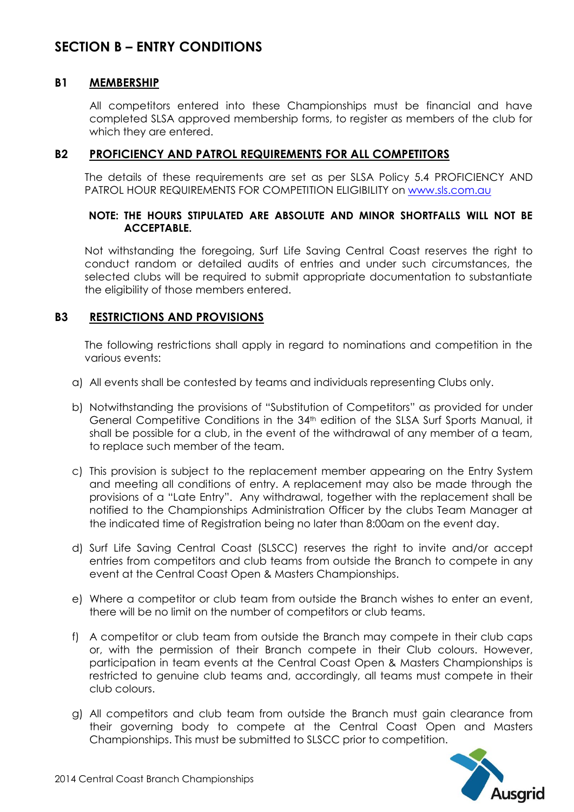# **SECTION B – ENTRY CONDITIONS**

#### **B1 MEMBERSHIP**

All competitors entered into these Championships must be financial and have completed SLSA approved membership forms, to register as members of the club for which they are entered.

#### **B2 PROFICIENCY AND PATROL REQUIREMENTS FOR ALL COMPETITORS**

The details of these requirements are set as per SLSA Policy 5.4 PROFICIENCY AND PATROL HOUR REQUIREMENTS FOR COMPETITION ELIGIBILITY on [www.sls.com.au](http://www.sls.com.au/) 

#### **NOTE: THE HOURS STIPULATED ARE ABSOLUTE AND MINOR SHORTFALLS WILL NOT BE ACCEPTABLE.**

Not withstanding the foregoing, Surf Life Saving Central Coast reserves the right to conduct random or detailed audits of entries and under such circumstances, the selected clubs will be required to submit appropriate documentation to substantiate the eligibility of those members entered.

#### **B3 RESTRICTIONS AND PROVISIONS**

The following restrictions shall apply in regard to nominations and competition in the various events:

- a) All events shall be contested by teams and individuals representing Clubs only.
- b) Notwithstanding the provisions of "Substitution of Competitors" as provided for under General Competitive Conditions in the 34th edition of the SLSA Surf Sports Manual, it shall be possible for a club, in the event of the withdrawal of any member of a team, to replace such member of the team.
- c) This provision is subject to the replacement member appearing on the Entry System and meeting all conditions of entry. A replacement may also be made through the provisions of a "Late Entry". Any withdrawal, together with the replacement shall be notified to the Championships Administration Officer by the clubs Team Manager at the indicated time of Registration being no later than 8:00am on the event day.
- d) Surf Life Saving Central Coast (SLSCC) reserves the right to invite and/or accept entries from competitors and club teams from outside the Branch to compete in any event at the Central Coast Open & Masters Championships.
- e) Where a competitor or club team from outside the Branch wishes to enter an event, there will be no limit on the number of competitors or club teams.
- f) A competitor or club team from outside the Branch may compete in their club caps or, with the permission of their Branch compete in their Club colours. However, participation in team events at the Central Coast Open & Masters Championships is restricted to genuine club teams and, accordingly, all teams must compete in their club colours.
- g) All competitors and club team from outside the Branch must gain clearance from their governing body to compete at the Central Coast Open and Masters Championships. This must be submitted to SLSCC prior to competition.

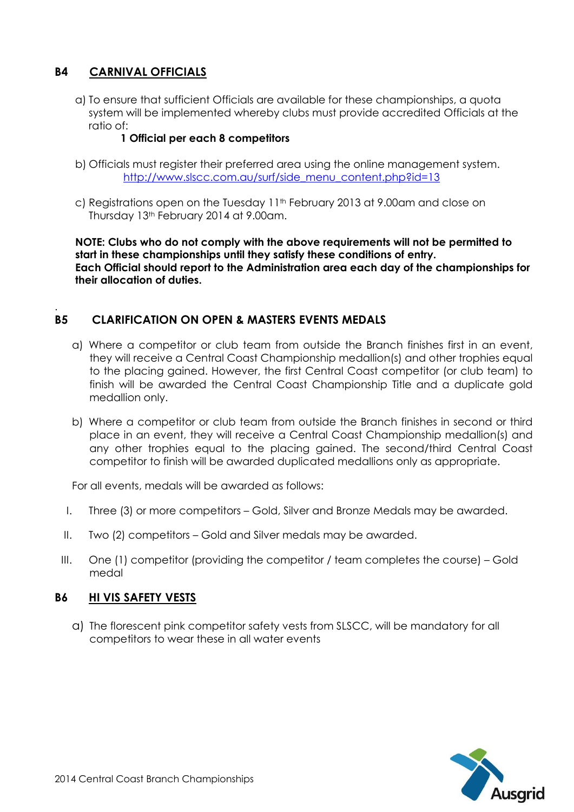# **B4 CARNIVAL OFFICIALS**

a) To ensure that sufficient Officials are available for these championships, a quota system will be implemented whereby clubs must provide accredited Officials at the ratio of:

### **1 Official per each 8 competitors**

- b) Officials must register their preferred area using the online management system. [http://www.slscc.com.au/surf/side\\_menu\\_content.php?id=13](http://www.slscc.com.au/surf/side_menu_content.php?id=13)
- c) Registrations open on the Tuesday 11<sup>th</sup> February 2013 at 9.00am and close on Thursday 13th February 2014 at 9.00am.

**NOTE: Clubs who do not comply with the above requirements will not be permitted to start in these championships until they satisfy these conditions of entry. Each Official should report to the Administration area each day of the championships for their allocation of duties.**

#### . **B5 CLARIFICATION ON OPEN & MASTERS EVENTS MEDALS**

- a) Where a competitor or club team from outside the Branch finishes first in an event, they will receive a Central Coast Championship medallion(s) and other trophies equal to the placing gained. However, the first Central Coast competitor (or club team) to finish will be awarded the Central Coast Championship Title and a duplicate gold medallion only.
- b) Where a competitor or club team from outside the Branch finishes in second or third place in an event, they will receive a Central Coast Championship medallion(s) and any other trophies equal to the placing gained. The second/third Central Coast competitor to finish will be awarded duplicated medallions only as appropriate.

For all events, medals will be awarded as follows:

- I. Three (3) or more competitors Gold, Silver and Bronze Medals may be awarded.
- II. Two (2) competitors Gold and Silver medals may be awarded.
- III. One (1) competitor (providing the competitor / team completes the course) Gold medal

### **B6 HI VIS SAFETY VESTS**

a) The florescent pink competitor safety vests from SLSCC, will be mandatory for all competitors to wear these in all water events

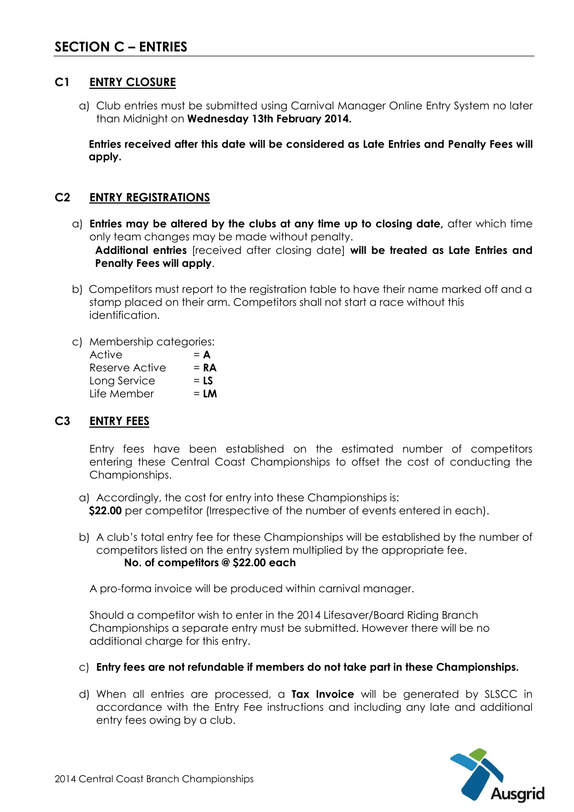# **C1 ENTRY CLOSURE**

a) Club entries must be submitted using Carnival Manager Online Entry System no later than Midnight on **Wednesday 13th February 2014.**

**Entries received after this date will be considered as Late Entries and Penalty Fees will apply.**

# **C2 ENTRY REGISTRATIONS**

- a) **Entries may be altered by the clubs at any time up to closing date,** after which time only team changes may be made without penalty. **Additional entries** [received after closing date] **will be treated as Late Entries and Penalty Fees will apply**.
- b) Competitors must report to the registration table to have their name marked off and a stamp placed on their arm. Competitors shall not start a race without this identification.
- c) Membership categories:

| Active         | $= A$  |
|----------------|--------|
| Reserve Active | $= RA$ |
| Long Service   | $=$ LS |
| Life Member    | $= LM$ |

### **C3 ENTRY FEES**

Entry fees have been established on the estimated number of competitors entering these Central Coast Championships to offset the cost of conducting the Championships.

- a) Accordingly, the cost for entry into these Championships is: **\$22.00** per competitor (Irrespective of the number of events entered in each).
- b) A club's total entry fee for these Championships will be established by the number of competitors listed on the entry system multiplied by the appropriate fee. **No. of competitors @ \$22.00 each**

A pro-forma invoice will be produced within carnival manager.

Should a competitor wish to enter in the 2014 Lifesaver/Board Riding Branch Championships a separate entry must be submitted. However there will be no additional charge for this entry.

- c) **Entry fees are not refundable if members do not take part in these Championships.**
- d) When all entries are processed, a **Tax Invoice** will be generated by SLSCC in accordance with the Entry Fee instructions and including any late and additional entry fees owing by a club.

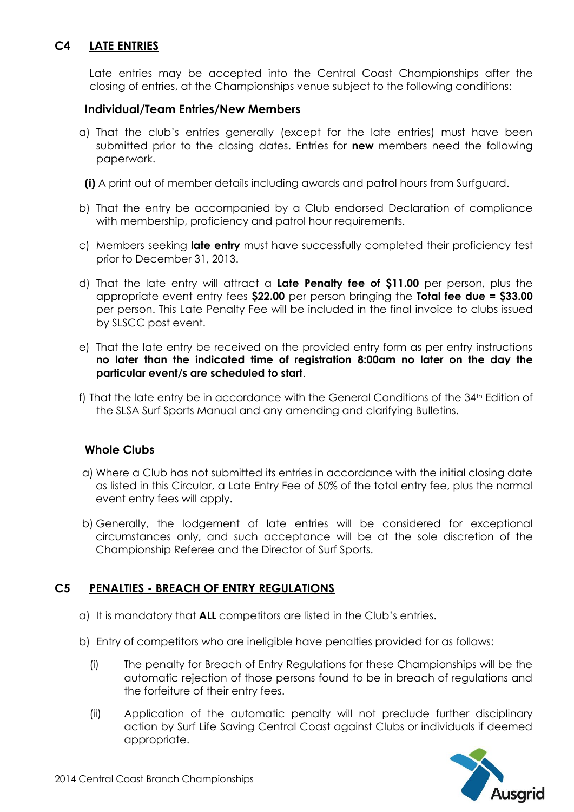# **C4 LATE ENTRIES**

Late entries may be accepted into the Central Coast Championships after the closing of entries, at the Championships venue subject to the following conditions:

#### **Individual/Team Entries/New Members**

a) That the club's entries generally (except for the late entries) must have been submitted prior to the closing dates. Entries for **new** members need the following paperwork.

**(i)** A print out of member details including awards and patrol hours from Surfguard.

- b) That the entry be accompanied by a Club endorsed Declaration of compliance with membership, proficiency and patrol hour requirements.
- c) Members seeking **late entry** must have successfully completed their proficiency test prior to December 31, 2013.
- d) That the late entry will attract a **Late Penalty fee of \$11.00** per person, plus the appropriate event entry fees **\$22.00** per person bringing the **Total fee due = \$33.00** per person. This Late Penalty Fee will be included in the final invoice to clubs issued by SLSCC post event.
- e) That the late entry be received on the provided entry form as per entry instructions **no later than the indicated time of registration 8:00am no later on the day the particular event/s are scheduled to start**.
- f) That the late entry be in accordance with the General Conditions of the 34<sup>th</sup> Edition of the SLSA Surf Sports Manual and any amending and clarifying Bulletins.

#### **Whole Clubs**

- a) Where a Club has not submitted its entries in accordance with the initial closing date as listed in this Circular, a Late Entry Fee of 50% of the total entry fee, plus the normal event entry fees will apply.
- b) Generally, the lodgement of late entries will be considered for exceptional circumstances only, and such acceptance will be at the sole discretion of the Championship Referee and the Director of Surf Sports.

#### **C5 PENALTIES - BREACH OF ENTRY REGULATIONS**

- a) It is mandatory that **ALL** competitors are listed in the Club's entries.
- b) Entry of competitors who are ineligible have penalties provided for as follows:
	- (i) The penalty for Breach of Entry Regulations for these Championships will be the automatic rejection of those persons found to be in breach of regulations and the forfeiture of their entry fees.
	- (ii) Application of the automatic penalty will not preclude further disciplinary action by Surf Life Saving Central Coast against Clubs or individuals if deemed appropriate.